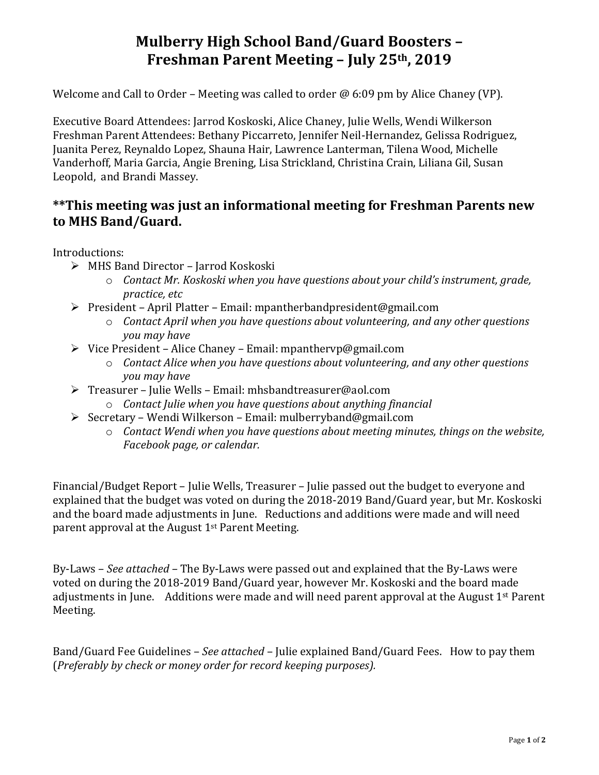## **Mulberry High School Band/Guard Boosters – Freshman Parent Meeting – July 25th, 2019**

Welcome and Call to Order – Meeting was called to order  $\omega$  6:09 pm by Alice Chaney (VP).

Executive Board Attendees: Jarrod Koskoski, Alice Chaney, Julie Wells, Wendi Wilkerson Freshman Parent Attendees: Bethany Piccarreto, Jennifer Neil-Hernandez, Gelissa Rodriguez, Juanita Perez, Reynaldo Lopez, Shauna Hair, Lawrence Lanterman, Tilena Wood, Michelle Vanderhoff, Maria Garcia, Angie Brening, Lisa Strickland, Christina Crain, Liliana Gil, Susan Leopold, and Brandi Massey.

## **\*\*This meeting was just an informational meeting for Freshman Parents new to MHS Band/Guard.**

Introductions:

- ➢ MHS Band Director Jarrod Koskoski
	- o *Contact Mr. Koskoski when you have questions about your child's instrument, grade, practice, etc*
- ➢ President April Platter Email: mpantherbandpresident@gmail.com
	- o *Contact April when you have questions about volunteering, and any other questions you may have*
- ➢ Vice President Alice Chaney Email: mpanthervp@gmail.com
	- o *Contact Alice when you have questions about volunteering, and any other questions you may have*
- ➢ Treasurer Julie Wells Email: mhsbandtreasurer@aol.com
	- o *Contact Julie when you have questions about anything financial*
- ➢ Secretary Wendi Wilkerson Email: mulberryband@gmail.com
	- o *Contact Wendi when you have questions about meeting minutes, things on the website, Facebook page, or calendar.*

Financial/Budget Report – Julie Wells, Treasurer – Julie passed out the budget to everyone and explained that the budget was voted on during the 2018-2019 Band/Guard year, but Mr. Koskoski and the board made adjustments in June. Reductions and additions were made and will need parent approval at the August 1st Parent Meeting.

By-Laws – *See attached –* The By-Laws were passed out and explained that the By-Laws were voted on during the 2018-2019 Band/Guard year, however Mr. Koskoski and the board made adjustments in June. Additions were made and will need parent approval at the August 1st Parent Meeting.

Band/Guard Fee Guidelines – *See attached* – Julie explained Band/Guard Fees. How to pay them (*Preferably by check or money order for record keeping purposes).*